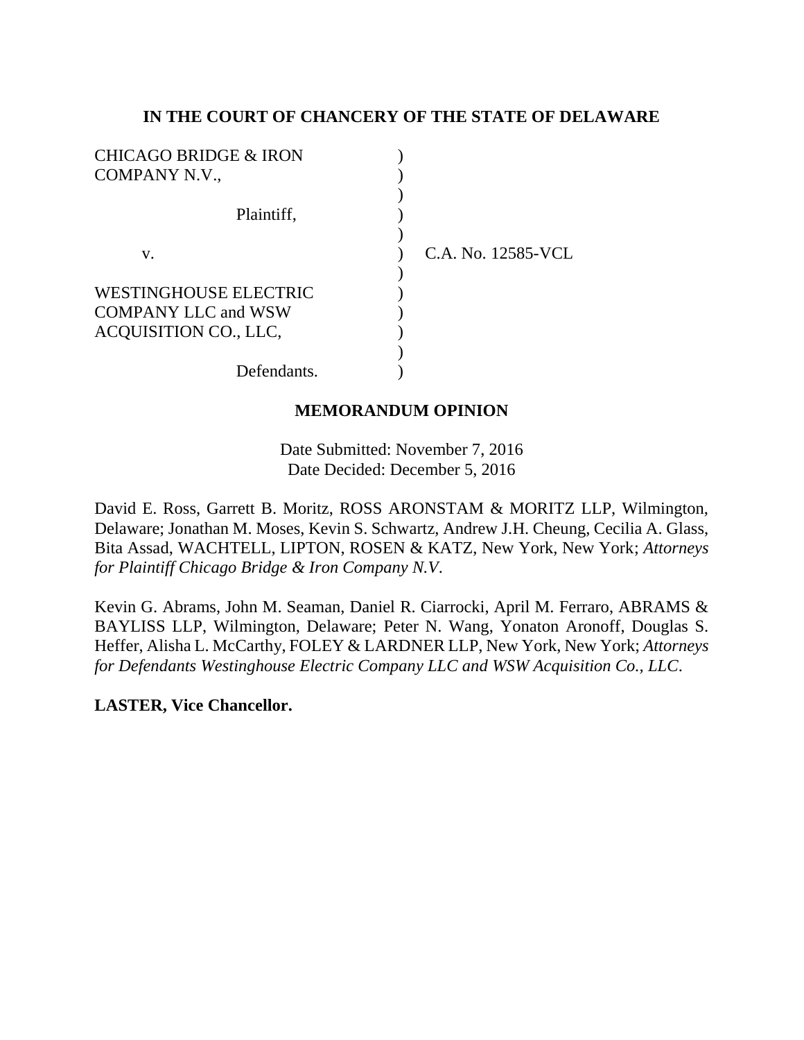## **IN THE COURT OF CHANCERY OF THE STATE OF DELAWARE**

| <b>CHICAGO BRIDGE &amp; IRON</b> |                    |
|----------------------------------|--------------------|
| COMPANY N.V.,                    |                    |
|                                  |                    |
| Plaintiff,                       |                    |
|                                  |                    |
| V.                               | C.A. No. 12585-VCL |
|                                  |                    |
| <b>WESTINGHOUSE ELECTRIC</b>     |                    |
| <b>COMPANY LLC and WSW</b>       |                    |
| ACQUISITION CO., LLC,            |                    |
|                                  |                    |
| Defendants.                      |                    |
|                                  |                    |

# **MEMORANDUM OPINION**

Date Submitted: November 7, 2016 Date Decided: December 5, 2016

David E. Ross, Garrett B. Moritz, ROSS ARONSTAM & MORITZ LLP, Wilmington, Delaware; Jonathan M. Moses, Kevin S. Schwartz, Andrew J.H. Cheung, Cecilia A. Glass, Bita Assad, WACHTELL, LIPTON, ROSEN & KATZ, New York, New York; *Attorneys for Plaintiff Chicago Bridge & Iron Company N.V*.

Kevin G. Abrams, John M. Seaman, Daniel R. Ciarrocki, April M. Ferraro, ABRAMS & BAYLISS LLP, Wilmington, Delaware; Peter N. Wang, Yonaton Aronoff, Douglas S. Heffer, Alisha L. McCarthy, FOLEY & LARDNER LLP, New York, New York; *Attorneys for Defendants Westinghouse Electric Company LLC and WSW Acquisition Co., LLC*.

**LASTER, Vice Chancellor.**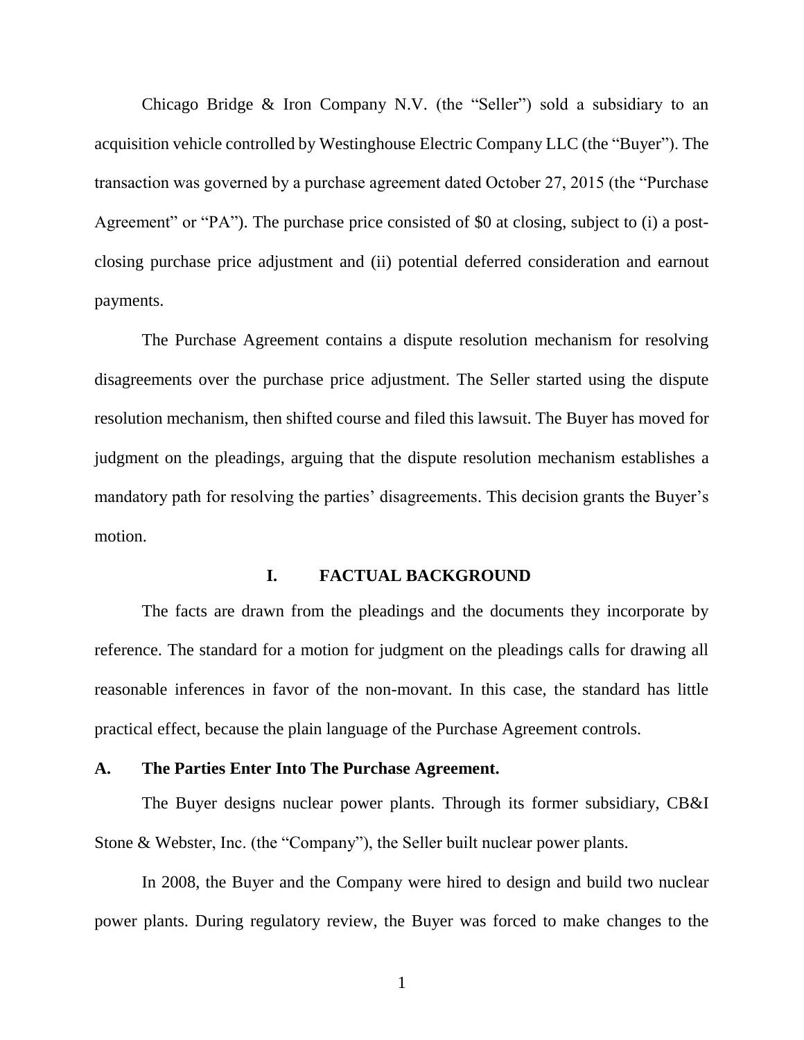Chicago Bridge & Iron Company N.V. (the "Seller") sold a subsidiary to an acquisition vehicle controlled by Westinghouse Electric Company LLC (the "Buyer"). The transaction was governed by a purchase agreement dated October 27, 2015 (the "Purchase Agreement" or "PA"). The purchase price consisted of \$0 at closing, subject to (i) a postclosing purchase price adjustment and (ii) potential deferred consideration and earnout payments.

The Purchase Agreement contains a dispute resolution mechanism for resolving disagreements over the purchase price adjustment. The Seller started using the dispute resolution mechanism, then shifted course and filed this lawsuit. The Buyer has moved for judgment on the pleadings, arguing that the dispute resolution mechanism establishes a mandatory path for resolving the parties' disagreements. This decision grants the Buyer's motion.

### **I. FACTUAL BACKGROUND**

The facts are drawn from the pleadings and the documents they incorporate by reference. The standard for a motion for judgment on the pleadings calls for drawing all reasonable inferences in favor of the non-movant. In this case, the standard has little practical effect, because the plain language of the Purchase Agreement controls.

### **A. The Parties Enter Into The Purchase Agreement.**

The Buyer designs nuclear power plants. Through its former subsidiary, CB&I Stone & Webster, Inc. (the "Company"), the Seller built nuclear power plants.

In 2008, the Buyer and the Company were hired to design and build two nuclear power plants. During regulatory review, the Buyer was forced to make changes to the

1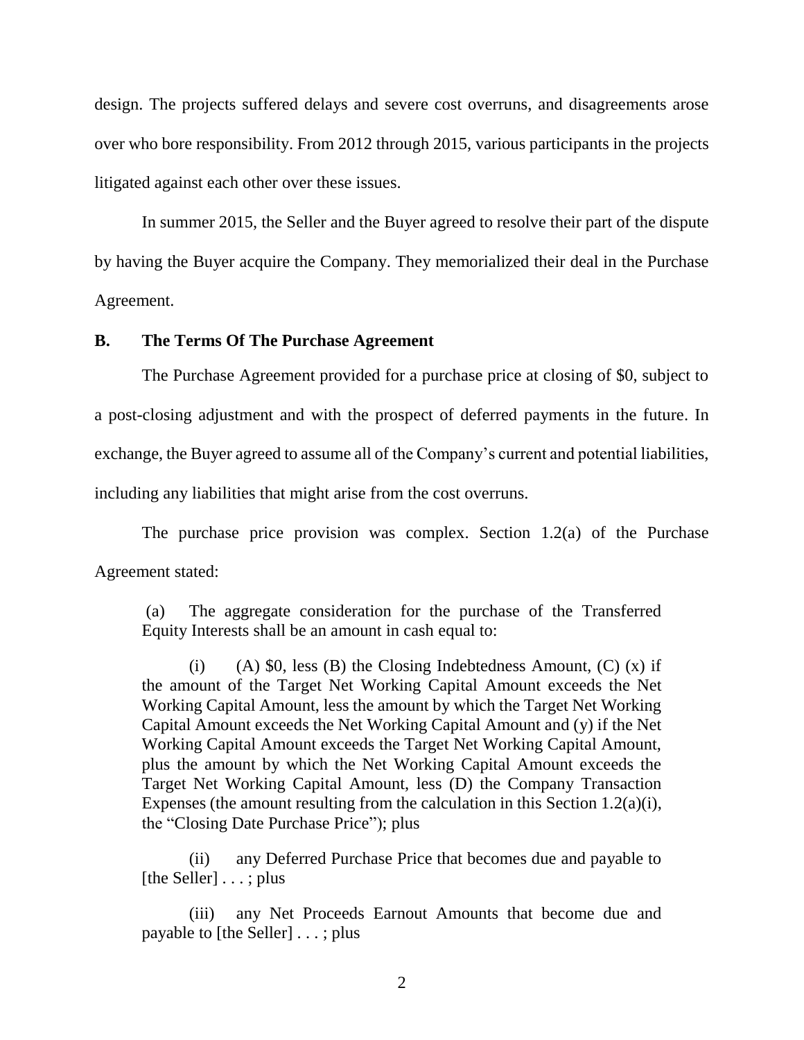design. The projects suffered delays and severe cost overruns, and disagreements arose over who bore responsibility. From 2012 through 2015, various participants in the projects litigated against each other over these issues.

In summer 2015, the Seller and the Buyer agreed to resolve their part of the dispute by having the Buyer acquire the Company. They memorialized their deal in the Purchase Agreement.

## **B. The Terms Of The Purchase Agreement**

The Purchase Agreement provided for a purchase price at closing of \$0, subject to a post-closing adjustment and with the prospect of deferred payments in the future. In exchange, the Buyer agreed to assume all of the Company's current and potential liabilities, including any liabilities that might arise from the cost overruns.

The purchase price provision was complex. Section 1.2(a) of the Purchase Agreement stated:

(a) The aggregate consideration for the purchase of the Transferred Equity Interests shall be an amount in cash equal to:

(i) (A)  $\$0$ , less (B) the Closing Indebtedness Amount, (C) (x) if the amount of the Target Net Working Capital Amount exceeds the Net Working Capital Amount, less the amount by which the Target Net Working Capital Amount exceeds the Net Working Capital Amount and (y) if the Net Working Capital Amount exceeds the Target Net Working Capital Amount, plus the amount by which the Net Working Capital Amount exceeds the Target Net Working Capital Amount, less (D) the Company Transaction Expenses (the amount resulting from the calculation in this Section 1.2(a)(i), the "Closing Date Purchase Price"); plus

(ii) any Deferred Purchase Price that becomes due and payable to [the Seller] . . . ; plus

(iii) any Net Proceeds Earnout Amounts that become due and payable to [the Seller] . . . ; plus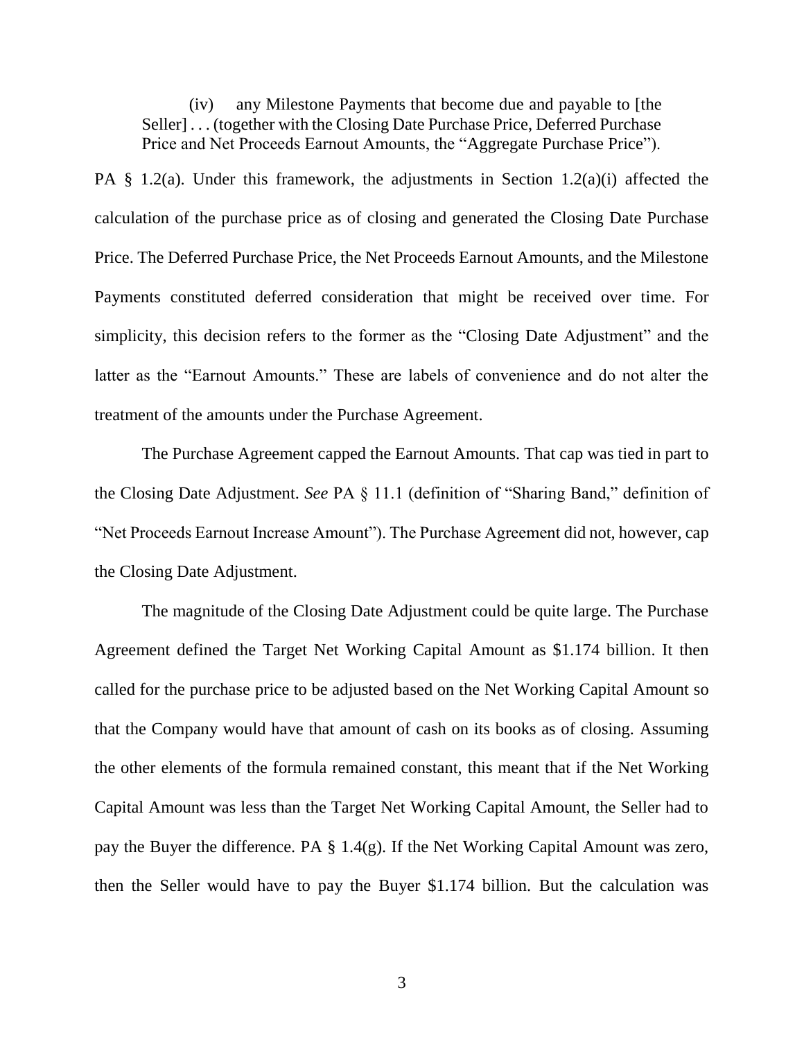(iv) any Milestone Payments that become due and payable to [the Seller] . . . (together with the Closing Date Purchase Price, Deferred Purchase Price and Net Proceeds Earnout Amounts, the "Aggregate Purchase Price").

PA  $\S$  1.2(a). Under this framework, the adjustments in Section 1.2(a)(i) affected the calculation of the purchase price as of closing and generated the Closing Date Purchase Price. The Deferred Purchase Price, the Net Proceeds Earnout Amounts, and the Milestone Payments constituted deferred consideration that might be received over time. For simplicity, this decision refers to the former as the "Closing Date Adjustment" and the latter as the "Earnout Amounts." These are labels of convenience and do not alter the treatment of the amounts under the Purchase Agreement.

The Purchase Agreement capped the Earnout Amounts. That cap was tied in part to the Closing Date Adjustment. *See* PA § 11.1 (definition of "Sharing Band," definition of "Net Proceeds Earnout Increase Amount"). The Purchase Agreement did not, however, cap the Closing Date Adjustment.

The magnitude of the Closing Date Adjustment could be quite large. The Purchase Agreement defined the Target Net Working Capital Amount as \$1.174 billion. It then called for the purchase price to be adjusted based on the Net Working Capital Amount so that the Company would have that amount of cash on its books as of closing. Assuming the other elements of the formula remained constant, this meant that if the Net Working Capital Amount was less than the Target Net Working Capital Amount, the Seller had to pay the Buyer the difference. PA § 1.4(g). If the Net Working Capital Amount was zero, then the Seller would have to pay the Buyer \$1.174 billion. But the calculation was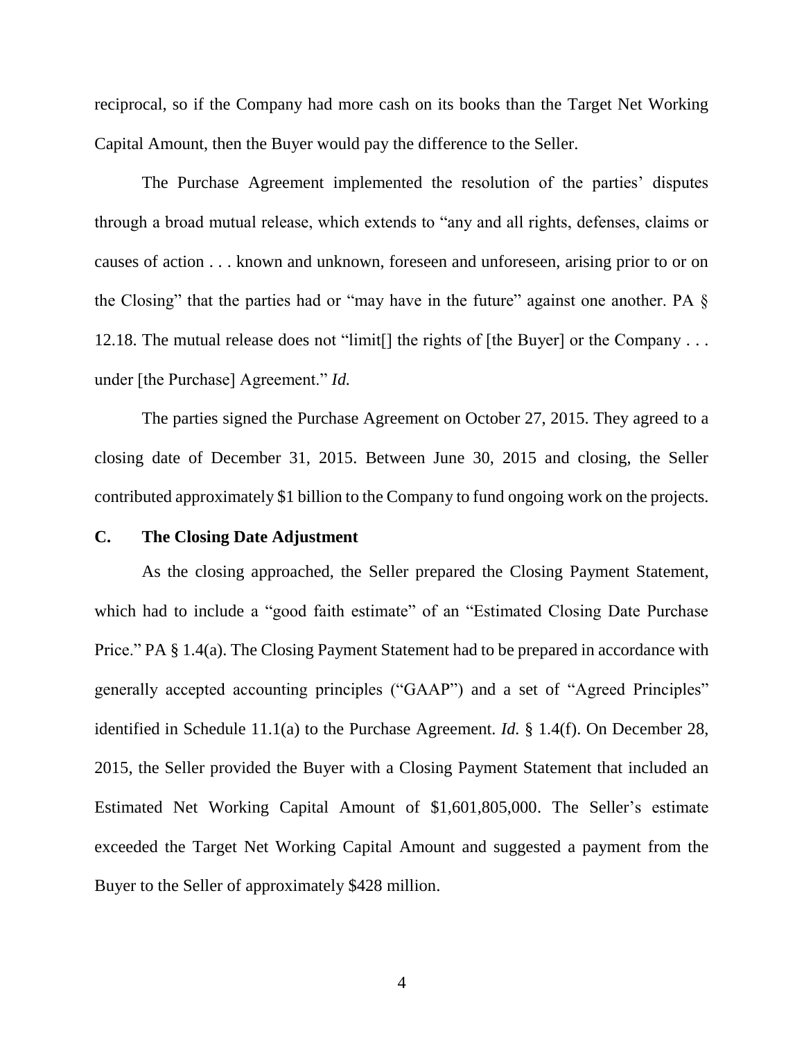reciprocal, so if the Company had more cash on its books than the Target Net Working Capital Amount, then the Buyer would pay the difference to the Seller.

The Purchase Agreement implemented the resolution of the parties' disputes through a broad mutual release, which extends to "any and all rights, defenses, claims or causes of action . . . known and unknown, foreseen and unforeseen, arising prior to or on the Closing" that the parties had or "may have in the future" against one another. PA  $\S$ 12.18. The mutual release does not "limit[] the rights of [the Buyer] or the Company . . . under [the Purchase] Agreement." *Id.*

The parties signed the Purchase Agreement on October 27, 2015. They agreed to a closing date of December 31, 2015. Between June 30, 2015 and closing, the Seller contributed approximately \$1 billion to the Company to fund ongoing work on the projects.

## **C. The Closing Date Adjustment**

As the closing approached, the Seller prepared the Closing Payment Statement, which had to include a "good faith estimate" of an "Estimated Closing Date Purchase Price." PA § 1.4(a). The Closing Payment Statement had to be prepared in accordance with generally accepted accounting principles ("GAAP") and a set of "Agreed Principles" identified in Schedule 11.1(a) to the Purchase Agreement. *Id.* § 1.4(f). On December 28, 2015, the Seller provided the Buyer with a Closing Payment Statement that included an Estimated Net Working Capital Amount of \$1,601,805,000. The Seller's estimate exceeded the Target Net Working Capital Amount and suggested a payment from the Buyer to the Seller of approximately \$428 million.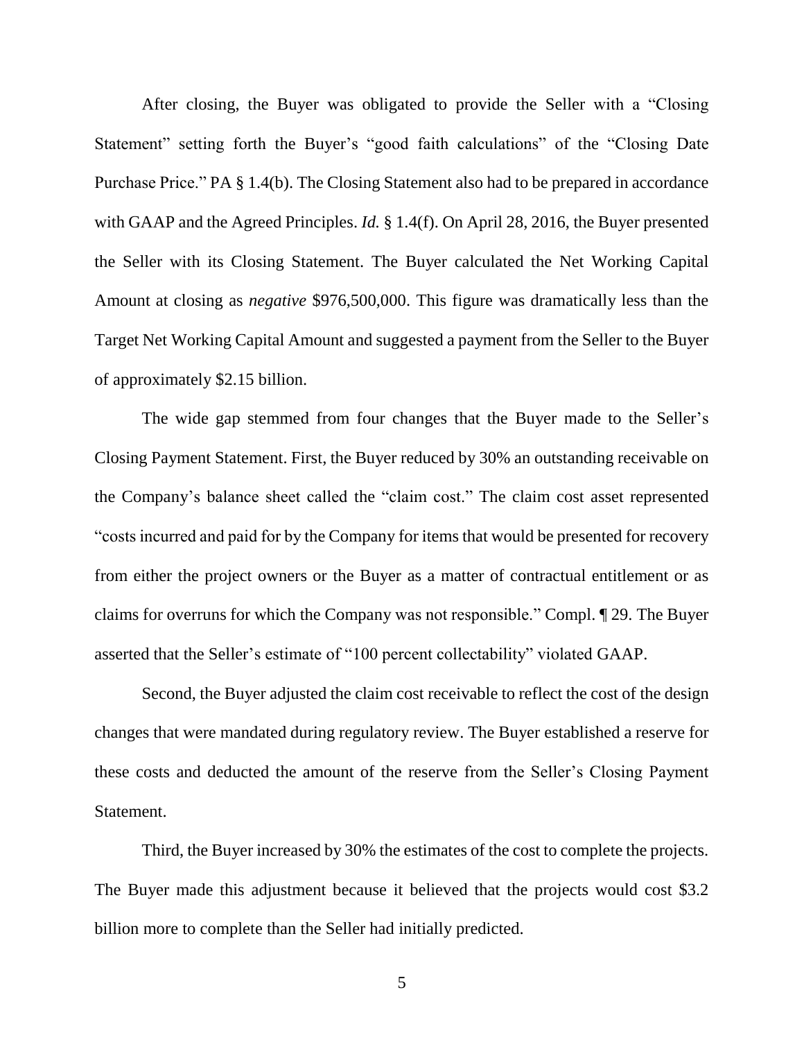After closing, the Buyer was obligated to provide the Seller with a "Closing Statement" setting forth the Buyer's "good faith calculations" of the "Closing Date Purchase Price." PA § 1.4(b). The Closing Statement also had to be prepared in accordance with GAAP and the Agreed Principles. *Id.* § 1.4(f). On April 28, 2016, the Buyer presented the Seller with its Closing Statement. The Buyer calculated the Net Working Capital Amount at closing as *negative* \$976,500,000. This figure was dramatically less than the Target Net Working Capital Amount and suggested a payment from the Seller to the Buyer of approximately \$2.15 billion.

The wide gap stemmed from four changes that the Buyer made to the Seller's Closing Payment Statement. First, the Buyer reduced by 30% an outstanding receivable on the Company's balance sheet called the "claim cost." The claim cost asset represented "costs incurred and paid for by the Company for items that would be presented for recovery from either the project owners or the Buyer as a matter of contractual entitlement or as claims for overruns for which the Company was not responsible." Compl. ¶ 29. The Buyer asserted that the Seller's estimate of "100 percent collectability" violated GAAP.

Second, the Buyer adjusted the claim cost receivable to reflect the cost of the design changes that were mandated during regulatory review. The Buyer established a reserve for these costs and deducted the amount of the reserve from the Seller's Closing Payment Statement.

Third, the Buyer increased by 30% the estimates of the cost to complete the projects. The Buyer made this adjustment because it believed that the projects would cost \$3.2 billion more to complete than the Seller had initially predicted.

5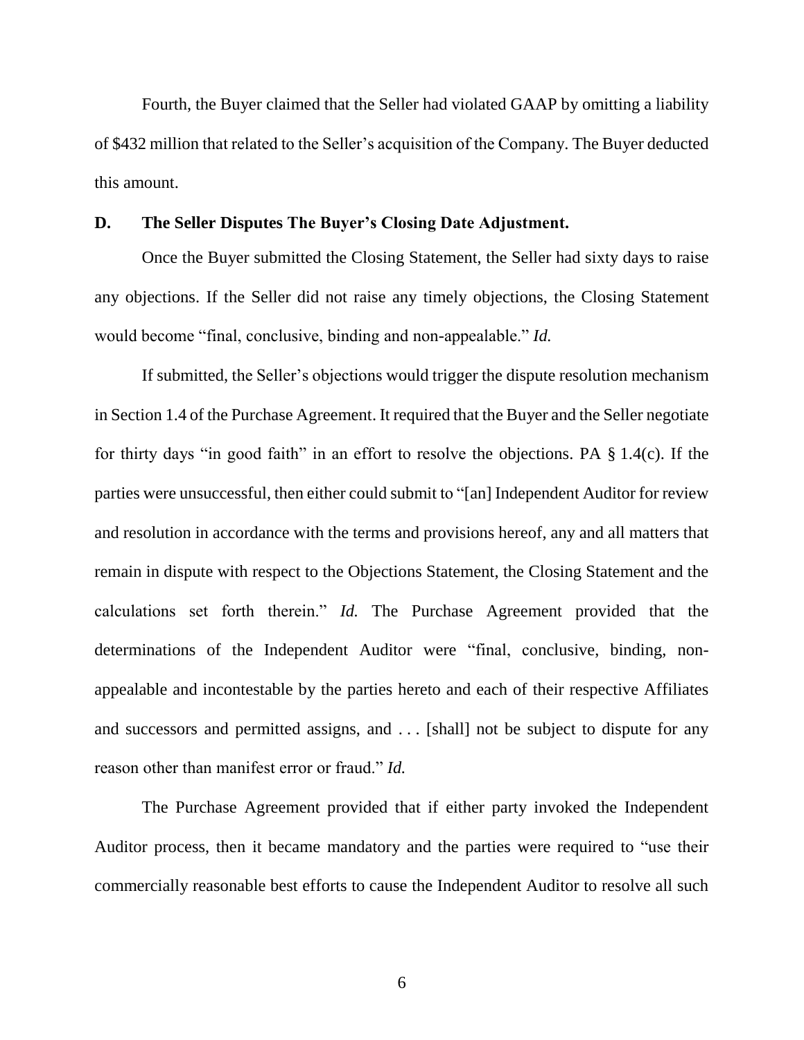Fourth, the Buyer claimed that the Seller had violated GAAP by omitting a liability of \$432 million that related to the Seller's acquisition of the Company. The Buyer deducted this amount.

#### **D. The Seller Disputes The Buyer's Closing Date Adjustment.**

Once the Buyer submitted the Closing Statement, the Seller had sixty days to raise any objections. If the Seller did not raise any timely objections, the Closing Statement would become "final, conclusive, binding and non-appealable." *Id.*

If submitted, the Seller's objections would trigger the dispute resolution mechanism in Section 1.4 of the Purchase Agreement. It required that the Buyer and the Seller negotiate for thirty days "in good faith" in an effort to resolve the objections. PA § 1.4(c). If the parties were unsuccessful, then either could submit to "[an] Independent Auditor for review and resolution in accordance with the terms and provisions hereof, any and all matters that remain in dispute with respect to the Objections Statement, the Closing Statement and the calculations set forth therein." *Id.* The Purchase Agreement provided that the determinations of the Independent Auditor were "final, conclusive, binding, nonappealable and incontestable by the parties hereto and each of their respective Affiliates and successors and permitted assigns, and . . . [shall] not be subject to dispute for any reason other than manifest error or fraud." *Id.*

The Purchase Agreement provided that if either party invoked the Independent Auditor process, then it became mandatory and the parties were required to "use their commercially reasonable best efforts to cause the Independent Auditor to resolve all such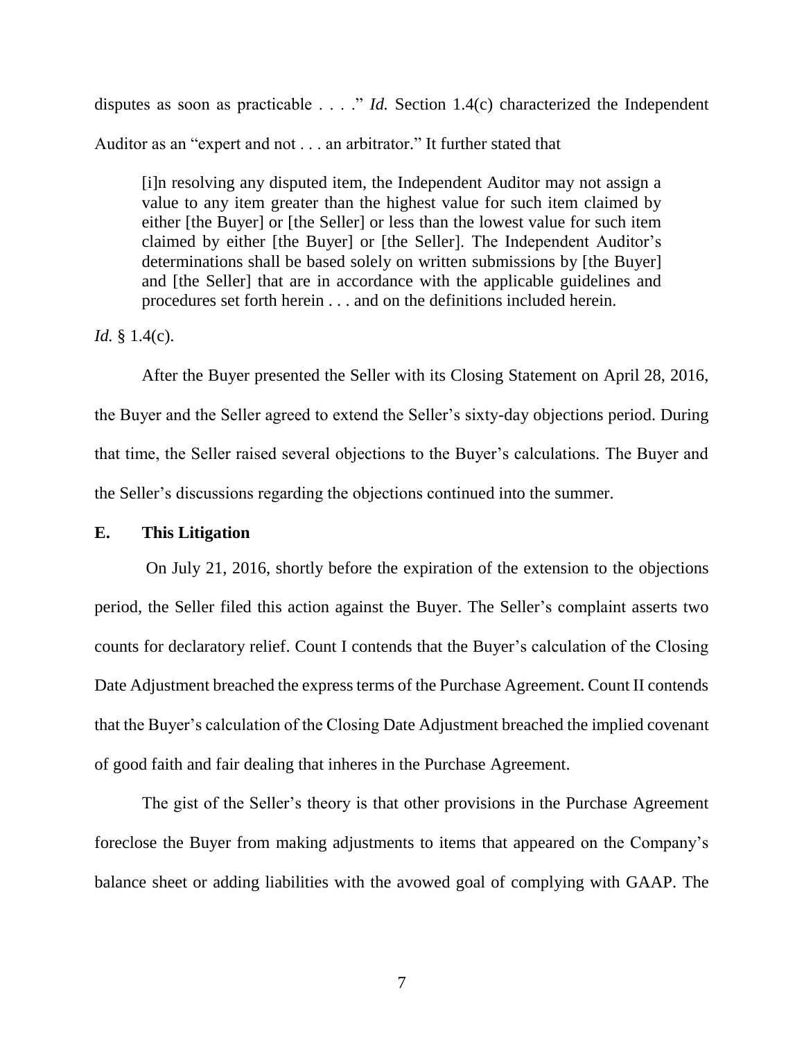disputes as soon as practicable . . . ." *Id.* Section 1.4(c) characterized the Independent Auditor as an "expert and not . . . an arbitrator." It further stated that

[i]n resolving any disputed item, the Independent Auditor may not assign a value to any item greater than the highest value for such item claimed by either [the Buyer] or [the Seller] or less than the lowest value for such item claimed by either [the Buyer] or [the Seller]. The Independent Auditor's determinations shall be based solely on written submissions by [the Buyer] and [the Seller] that are in accordance with the applicable guidelines and procedures set forth herein . . . and on the definitions included herein.

*Id.* § 1.4(c).

After the Buyer presented the Seller with its Closing Statement on April 28, 2016, the Buyer and the Seller agreed to extend the Seller's sixty-day objections period. During that time, the Seller raised several objections to the Buyer's calculations. The Buyer and the Seller's discussions regarding the objections continued into the summer.

#### **E. This Litigation**

On July 21, 2016, shortly before the expiration of the extension to the objections period, the Seller filed this action against the Buyer. The Seller's complaint asserts two counts for declaratory relief. Count I contends that the Buyer's calculation of the Closing Date Adjustment breached the express terms of the Purchase Agreement. Count II contends that the Buyer's calculation of the Closing Date Adjustment breached the implied covenant of good faith and fair dealing that inheres in the Purchase Agreement.

The gist of the Seller's theory is that other provisions in the Purchase Agreement foreclose the Buyer from making adjustments to items that appeared on the Company's balance sheet or adding liabilities with the avowed goal of complying with GAAP. The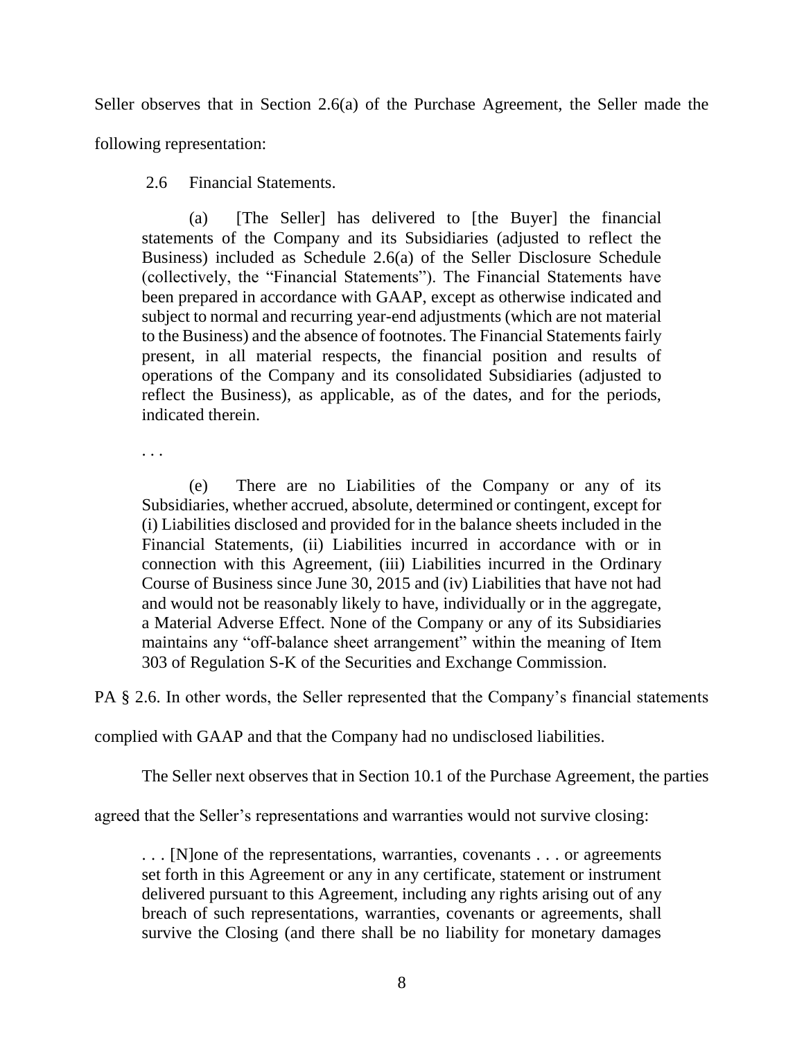Seller observes that in Section 2.6(a) of the Purchase Agreement, the Seller made the

following representation:

2.6 Financial Statements.

(a) [The Seller] has delivered to [the Buyer] the financial statements of the Company and its Subsidiaries (adjusted to reflect the Business) included as Schedule 2.6(a) of the Seller Disclosure Schedule (collectively, the "Financial Statements"). The Financial Statements have been prepared in accordance with GAAP, except as otherwise indicated and subject to normal and recurring year-end adjustments (which are not material to the Business) and the absence of footnotes. The Financial Statements fairly present, in all material respects, the financial position and results of operations of the Company and its consolidated Subsidiaries (adjusted to reflect the Business), as applicable, as of the dates, and for the periods, indicated therein.

. . .

(e) There are no Liabilities of the Company or any of its Subsidiaries, whether accrued, absolute, determined or contingent, except for (i) Liabilities disclosed and provided for in the balance sheets included in the Financial Statements, (ii) Liabilities incurred in accordance with or in connection with this Agreement, (iii) Liabilities incurred in the Ordinary Course of Business since June 30, 2015 and (iv) Liabilities that have not had and would not be reasonably likely to have, individually or in the aggregate, a Material Adverse Effect. None of the Company or any of its Subsidiaries maintains any "off-balance sheet arrangement" within the meaning of Item 303 of Regulation S-K of the Securities and Exchange Commission.

PA § 2.6. In other words, the Seller represented that the Company's financial statements

complied with GAAP and that the Company had no undisclosed liabilities.

The Seller next observes that in Section 10.1 of the Purchase Agreement, the parties

agreed that the Seller's representations and warranties would not survive closing:

. . . [N]one of the representations, warranties, covenants . . . or agreements set forth in this Agreement or any in any certificate, statement or instrument delivered pursuant to this Agreement, including any rights arising out of any breach of such representations, warranties, covenants or agreements, shall survive the Closing (and there shall be no liability for monetary damages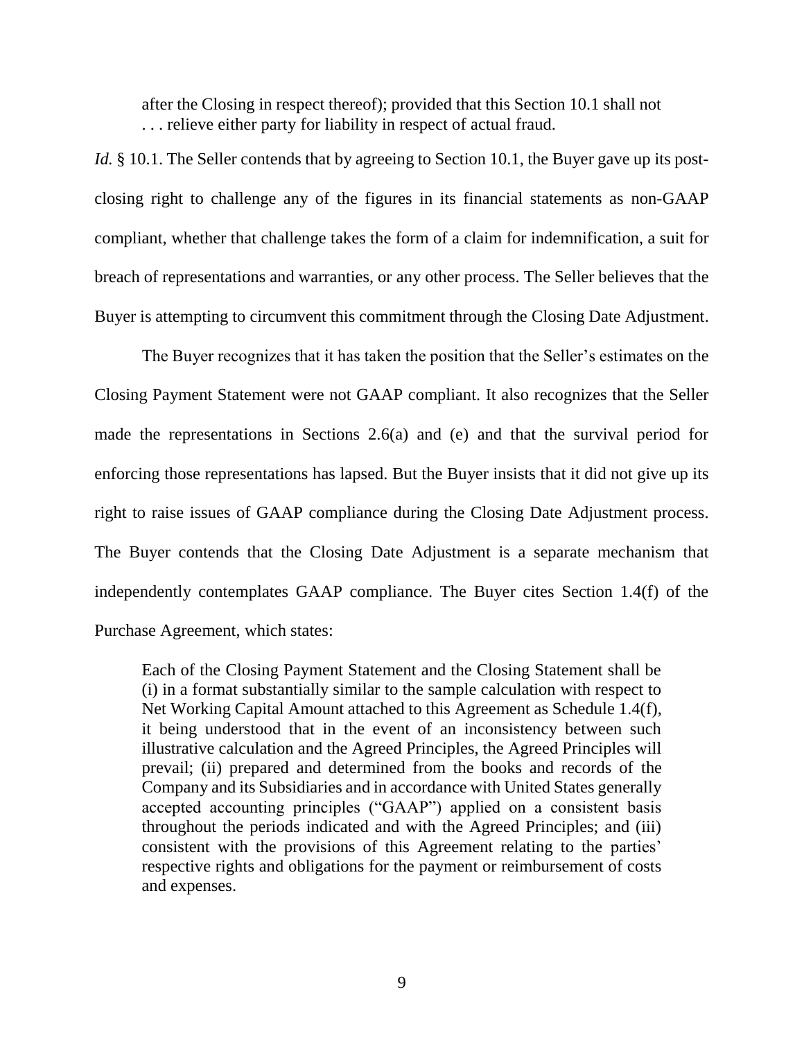after the Closing in respect thereof); provided that this Section 10.1 shall not . . . relieve either party for liability in respect of actual fraud.

*Id.* § 10.1. The Seller contends that by agreeing to Section 10.1, the Buyer gave up its postclosing right to challenge any of the figures in its financial statements as non-GAAP compliant, whether that challenge takes the form of a claim for indemnification, a suit for breach of representations and warranties, or any other process. The Seller believes that the Buyer is attempting to circumvent this commitment through the Closing Date Adjustment.

The Buyer recognizes that it has taken the position that the Seller's estimates on the Closing Payment Statement were not GAAP compliant. It also recognizes that the Seller made the representations in Sections 2.6(a) and (e) and that the survival period for enforcing those representations has lapsed. But the Buyer insists that it did not give up its right to raise issues of GAAP compliance during the Closing Date Adjustment process. The Buyer contends that the Closing Date Adjustment is a separate mechanism that independently contemplates GAAP compliance. The Buyer cites Section 1.4(f) of the Purchase Agreement, which states:

Each of the Closing Payment Statement and the Closing Statement shall be (i) in a format substantially similar to the sample calculation with respect to Net Working Capital Amount attached to this Agreement as Schedule 1.4(f), it being understood that in the event of an inconsistency between such illustrative calculation and the Agreed Principles, the Agreed Principles will prevail; (ii) prepared and determined from the books and records of the Company and its Subsidiaries and in accordance with United States generally accepted accounting principles ("GAAP") applied on a consistent basis throughout the periods indicated and with the Agreed Principles; and (iii) consistent with the provisions of this Agreement relating to the parties' respective rights and obligations for the payment or reimbursement of costs and expenses.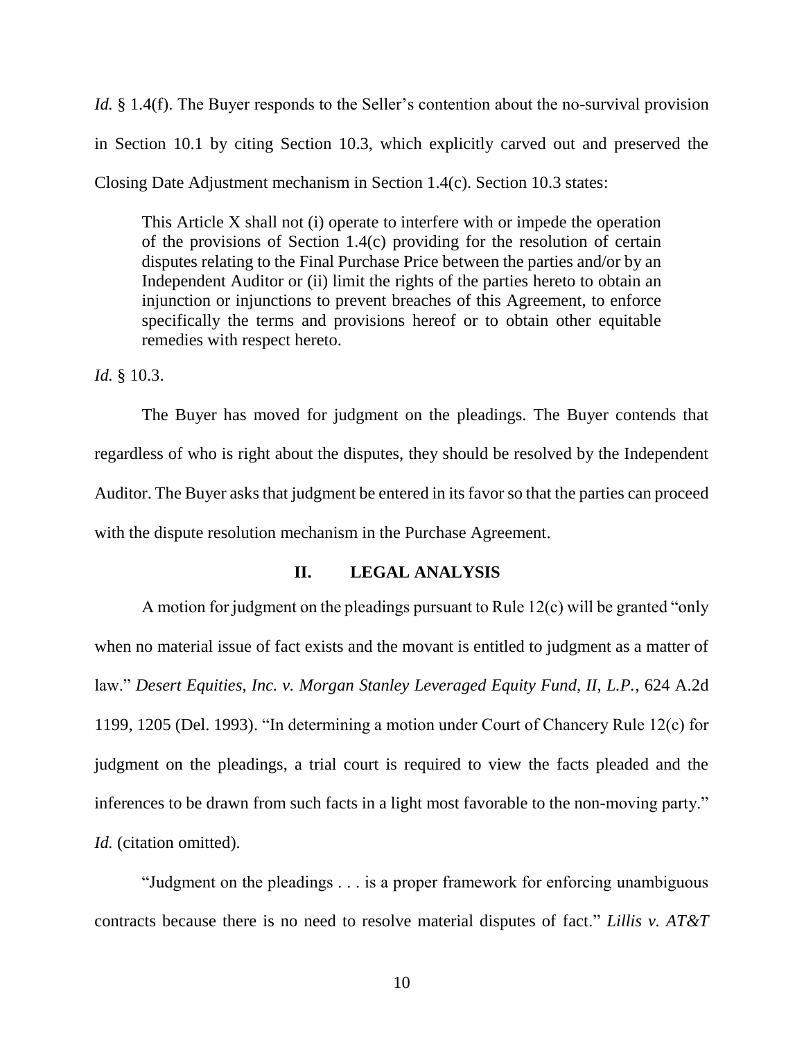*Id.* § 1.4(f). The Buyer responds to the Seller's contention about the no-survival provision in Section 10.1 by citing Section 10.3, which explicitly carved out and preserved the Closing Date Adjustment mechanism in Section 1.4(c). Section 10.3 states:

This Article X shall not (i) operate to interfere with or impede the operation of the provisions of Section 1.4(c) providing for the resolution of certain disputes relating to the Final Purchase Price between the parties and/or by an Independent Auditor or (ii) limit the rights of the parties hereto to obtain an injunction or injunctions to prevent breaches of this Agreement, to enforce specifically the terms and provisions hereof or to obtain other equitable remedies with respect hereto.

*Id.* § 10.3.

The Buyer has moved for judgment on the pleadings. The Buyer contends that regardless of who is right about the disputes, they should be resolved by the Independent Auditor. The Buyer asks that judgment be entered in its favor so that the parties can proceed with the dispute resolution mechanism in the Purchase Agreement.

# **II. LEGAL ANALYSIS**

A motion for judgment on the pleadings pursuant to Rule 12(c) will be granted "only when no material issue of fact exists and the movant is entitled to judgment as a matter of law." *Desert Equities, Inc. v. Morgan Stanley Leveraged Equity Fund, II, L.P.*, 624 A.2d 1199, 1205 (Del. 1993). "In determining a motion under Court of Chancery Rule 12(c) for judgment on the pleadings, a trial court is required to view the facts pleaded and the inferences to be drawn from such facts in a light most favorable to the non-moving party." *Id.* (citation omitted).

"Judgment on the pleadings . . . is a proper framework for enforcing unambiguous contracts because there is no need to resolve material disputes of fact." *Lillis v. AT&T*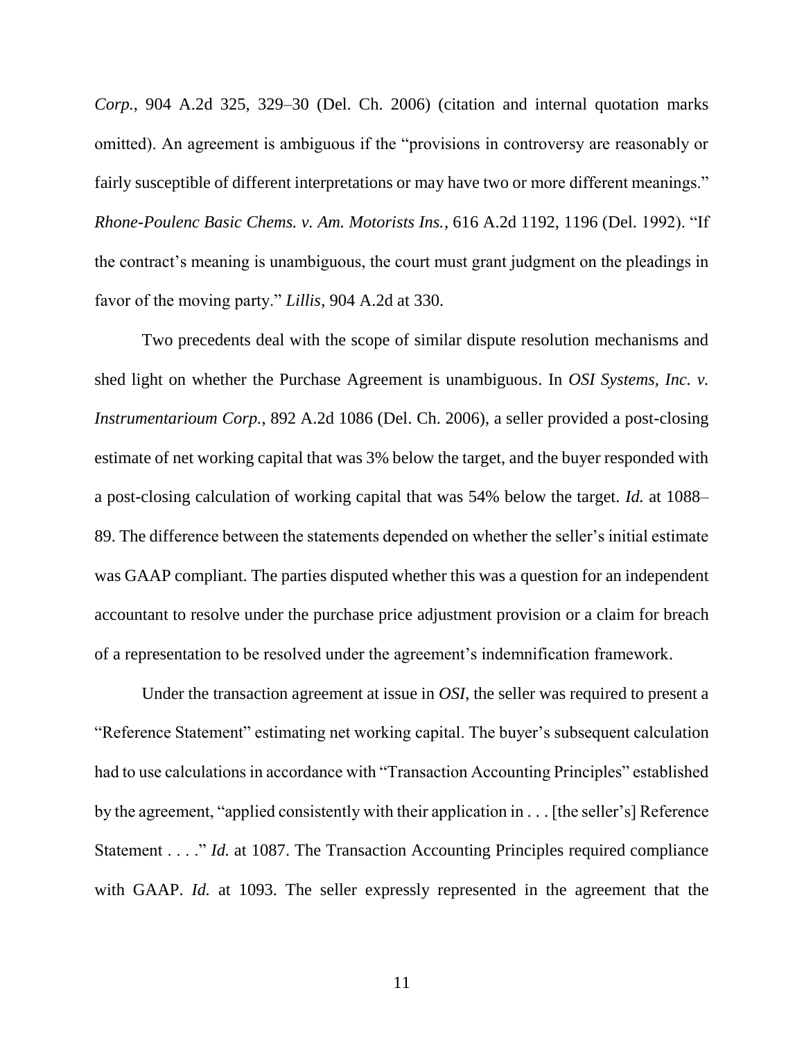*Corp.*, 904 A.2d 325, 329–30 (Del. Ch. 2006) (citation and internal quotation marks omitted). An agreement is ambiguous if the "provisions in controversy are reasonably or fairly susceptible of different interpretations or may have two or more different meanings." *Rhone-Poulenc Basic Chems. v. Am. Motorists Ins.*, 616 A.2d 1192, 1196 (Del. 1992). "If the contract's meaning is unambiguous, the court must grant judgment on the pleadings in favor of the moving party." *Lillis*, 904 A.2d at 330.

Two precedents deal with the scope of similar dispute resolution mechanisms and shed light on whether the Purchase Agreement is unambiguous. In *OSI Systems, Inc. v. Instrumentarioum Corp.*, 892 A.2d 1086 (Del. Ch. 2006), a seller provided a post-closing estimate of net working capital that was 3% below the target, and the buyer responded with a post-closing calculation of working capital that was 54% below the target. *Id.* at 1088– 89. The difference between the statements depended on whether the seller's initial estimate was GAAP compliant. The parties disputed whether this was a question for an independent accountant to resolve under the purchase price adjustment provision or a claim for breach of a representation to be resolved under the agreement's indemnification framework.

Under the transaction agreement at issue in *OSI*, the seller was required to present a "Reference Statement" estimating net working capital. The buyer's subsequent calculation had to use calculations in accordance with "Transaction Accounting Principles" established by the agreement, "applied consistently with their application in . . . [the seller's] Reference Statement . . . ." *Id.* at 1087. The Transaction Accounting Principles required compliance with GAAP. *Id.* at 1093. The seller expressly represented in the agreement that the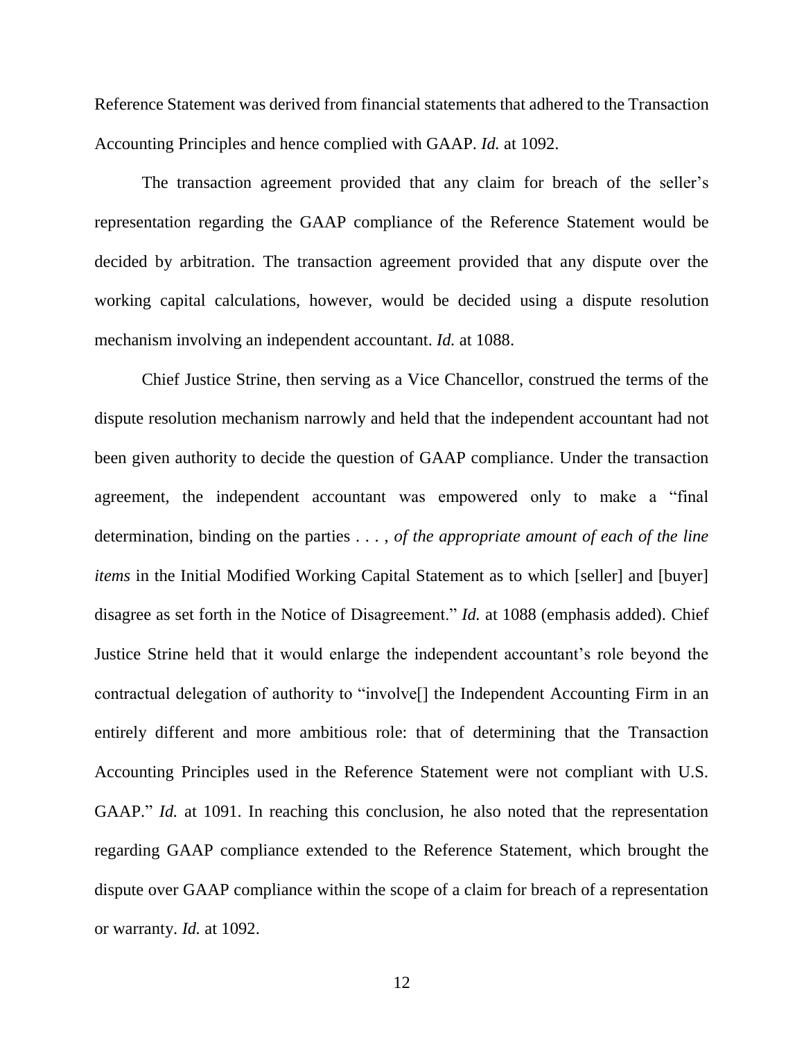Reference Statement was derived from financial statements that adhered to the Transaction Accounting Principles and hence complied with GAAP. *Id.* at 1092.

The transaction agreement provided that any claim for breach of the seller's representation regarding the GAAP compliance of the Reference Statement would be decided by arbitration. The transaction agreement provided that any dispute over the working capital calculations, however, would be decided using a dispute resolution mechanism involving an independent accountant. *Id.* at 1088.

Chief Justice Strine, then serving as a Vice Chancellor, construed the terms of the dispute resolution mechanism narrowly and held that the independent accountant had not been given authority to decide the question of GAAP compliance. Under the transaction agreement, the independent accountant was empowered only to make a "final determination, binding on the parties . . . , *of the appropriate amount of each of the line items* in the Initial Modified Working Capital Statement as to which [seller] and [buyer] disagree as set forth in the Notice of Disagreement." *Id.* at 1088 (emphasis added). Chief Justice Strine held that it would enlarge the independent accountant's role beyond the contractual delegation of authority to "involve[] the Independent Accounting Firm in an entirely different and more ambitious role: that of determining that the Transaction Accounting Principles used in the Reference Statement were not compliant with U.S. GAAP." *Id.* at 1091. In reaching this conclusion, he also noted that the representation regarding GAAP compliance extended to the Reference Statement, which brought the dispute over GAAP compliance within the scope of a claim for breach of a representation or warranty. *Id.* at 1092.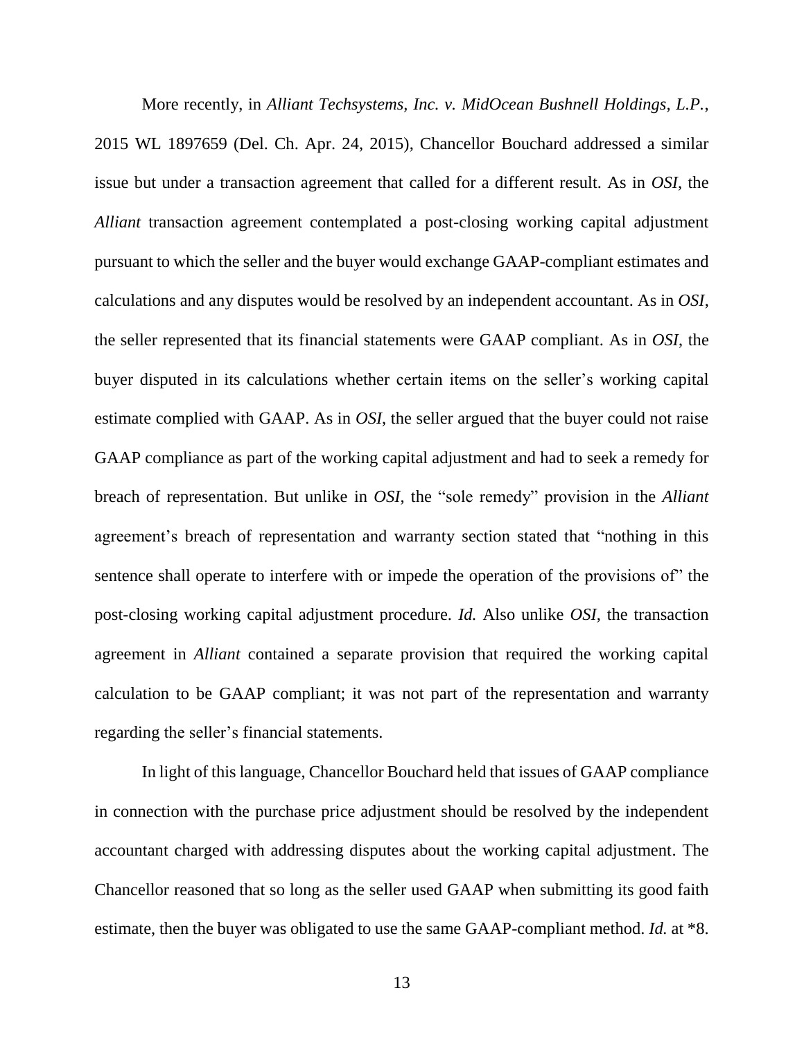More recently, in *Alliant Techsystems, Inc. v. MidOcean Bushnell Holdings, L.P.*, 2015 WL 1897659 (Del. Ch. Apr. 24, 2015), Chancellor Bouchard addressed a similar issue but under a transaction agreement that called for a different result. As in *OSI*, the *Alliant* transaction agreement contemplated a post-closing working capital adjustment pursuant to which the seller and the buyer would exchange GAAP-compliant estimates and calculations and any disputes would be resolved by an independent accountant. As in *OSI*, the seller represented that its financial statements were GAAP compliant. As in *OSI*, the buyer disputed in its calculations whether certain items on the seller's working capital estimate complied with GAAP. As in *OSI*, the seller argued that the buyer could not raise GAAP compliance as part of the working capital adjustment and had to seek a remedy for breach of representation. But unlike in *OSI*, the "sole remedy" provision in the *Alliant* agreement's breach of representation and warranty section stated that "nothing in this sentence shall operate to interfere with or impede the operation of the provisions of" the post-closing working capital adjustment procedure. *Id.* Also unlike *OSI*, the transaction agreement in *Alliant* contained a separate provision that required the working capital calculation to be GAAP compliant; it was not part of the representation and warranty regarding the seller's financial statements.

In light of this language, Chancellor Bouchard held that issues of GAAP compliance in connection with the purchase price adjustment should be resolved by the independent accountant charged with addressing disputes about the working capital adjustment. The Chancellor reasoned that so long as the seller used GAAP when submitting its good faith estimate, then the buyer was obligated to use the same GAAP-compliant method. *Id.* at \*8.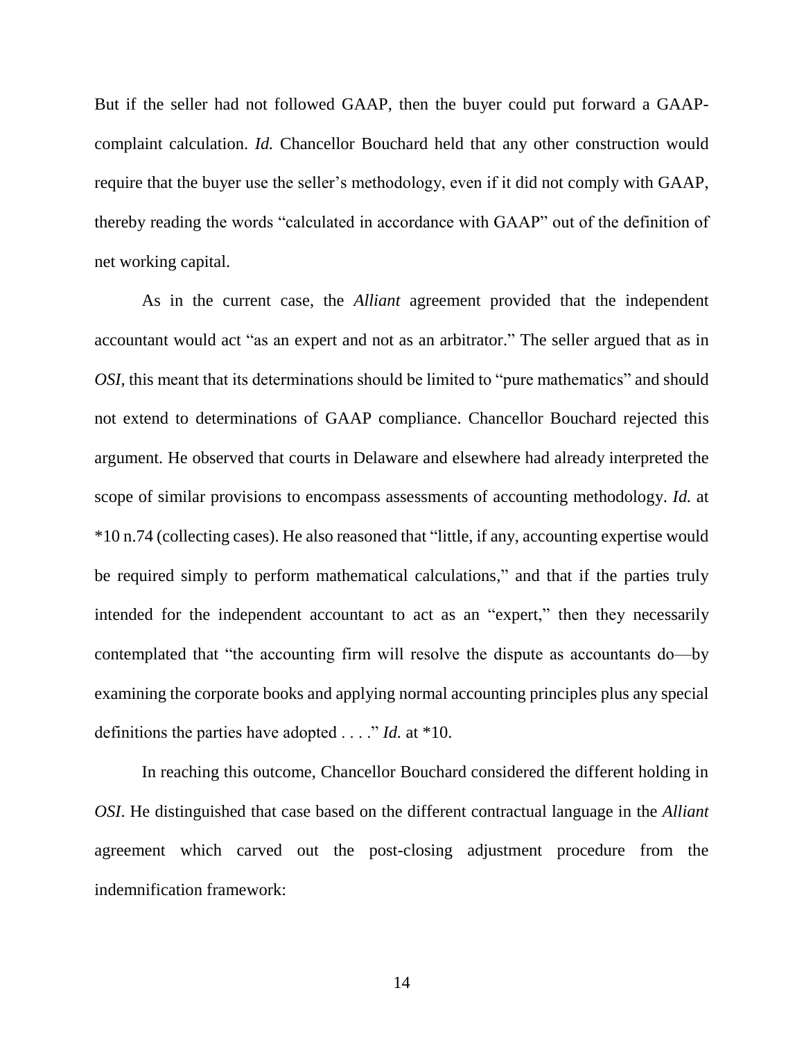But if the seller had not followed GAAP, then the buyer could put forward a GAAPcomplaint calculation. *Id.* Chancellor Bouchard held that any other construction would require that the buyer use the seller's methodology, even if it did not comply with GAAP, thereby reading the words "calculated in accordance with GAAP" out of the definition of net working capital.

As in the current case, the *Alliant* agreement provided that the independent accountant would act "as an expert and not as an arbitrator." The seller argued that as in *OSI*, this meant that its determinations should be limited to "pure mathematics" and should not extend to determinations of GAAP compliance. Chancellor Bouchard rejected this argument. He observed that courts in Delaware and elsewhere had already interpreted the scope of similar provisions to encompass assessments of accounting methodology. *Id.* at \*10 n.74 (collecting cases). He also reasoned that "little, if any, accounting expertise would be required simply to perform mathematical calculations," and that if the parties truly intended for the independent accountant to act as an "expert," then they necessarily contemplated that "the accounting firm will resolve the dispute as accountants do—by examining the corporate books and applying normal accounting principles plus any special definitions the parties have adopted . . . ." *Id.* at \*10.

In reaching this outcome, Chancellor Bouchard considered the different holding in *OSI*. He distinguished that case based on the different contractual language in the *Alliant* agreement which carved out the post-closing adjustment procedure from the indemnification framework: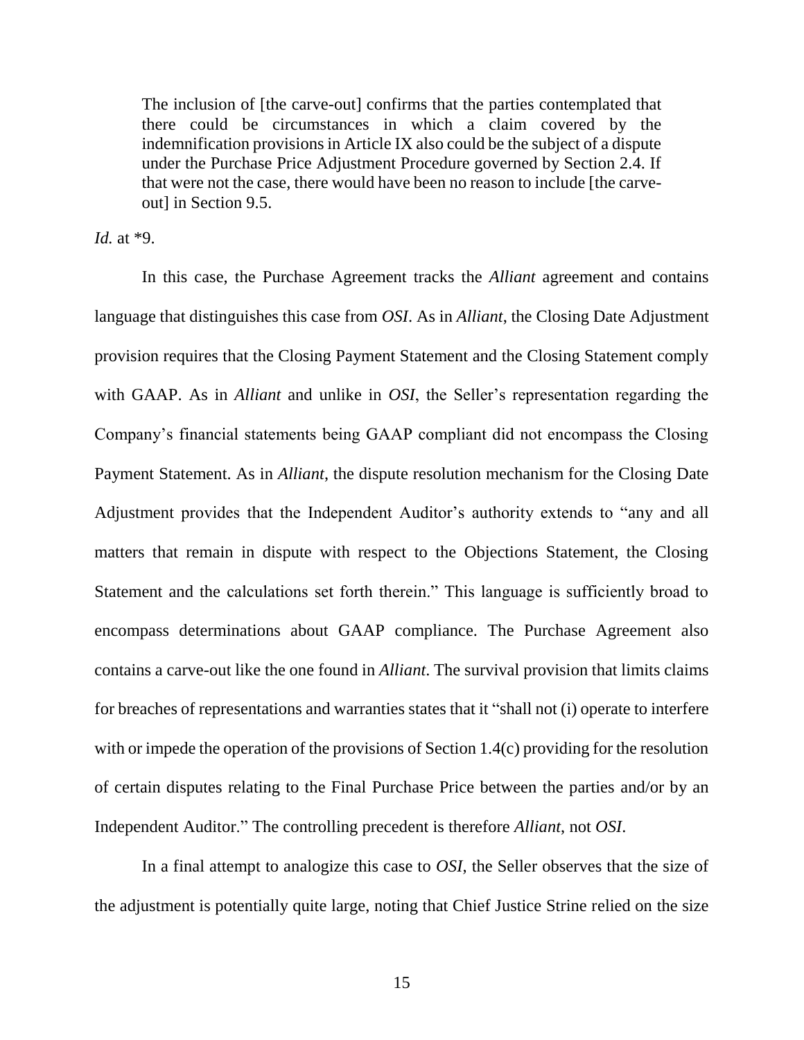The inclusion of [the carve-out] confirms that the parties contemplated that there could be circumstances in which a claim covered by the indemnification provisions in Article IX also could be the subject of a dispute under the Purchase Price Adjustment Procedure governed by Section 2.4. If that were not the case, there would have been no reason to include [the carveout] in Section 9.5.

*Id.* at \*9.

In this case, the Purchase Agreement tracks the *Alliant* agreement and contains language that distinguishes this case from *OSI*. As in *Alliant*, the Closing Date Adjustment provision requires that the Closing Payment Statement and the Closing Statement comply with GAAP. As in *Alliant* and unlike in *OSI*, the Seller's representation regarding the Company's financial statements being GAAP compliant did not encompass the Closing Payment Statement. As in *Alliant*, the dispute resolution mechanism for the Closing Date Adjustment provides that the Independent Auditor's authority extends to "any and all matters that remain in dispute with respect to the Objections Statement, the Closing Statement and the calculations set forth therein." This language is sufficiently broad to encompass determinations about GAAP compliance. The Purchase Agreement also contains a carve-out like the one found in *Alliant*. The survival provision that limits claims for breaches of representations and warranties states that it "shall not (i) operate to interfere with or impede the operation of the provisions of Section 1.4(c) providing for the resolution of certain disputes relating to the Final Purchase Price between the parties and/or by an Independent Auditor." The controlling precedent is therefore *Alliant*, not *OSI*.

In a final attempt to analogize this case to *OSI*, the Seller observes that the size of the adjustment is potentially quite large, noting that Chief Justice Strine relied on the size